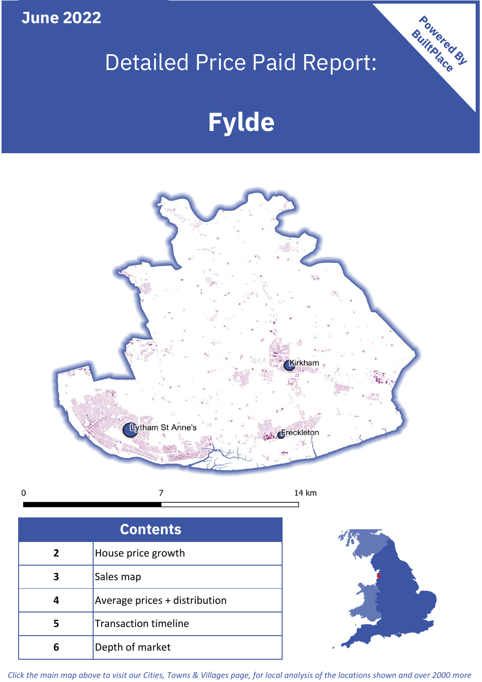**June 2022**

# Detailed Price Paid Report:

# **Fylde**



 $\pmb{0}$ 

| <b>Contents</b> |                               |  |  |  |
|-----------------|-------------------------------|--|--|--|
| 2 <sup>1</sup>  | House price growth            |  |  |  |
| 3               | Sales map                     |  |  |  |
| Δ               | Average prices + distribution |  |  |  |
| 5               | <b>Transaction timeline</b>   |  |  |  |
|                 | Depth of market               |  |  |  |



Powered By

*Click the main map above to visit our Cities, Towns & Villages page, for local analysis of the locations shown and over 2000 more*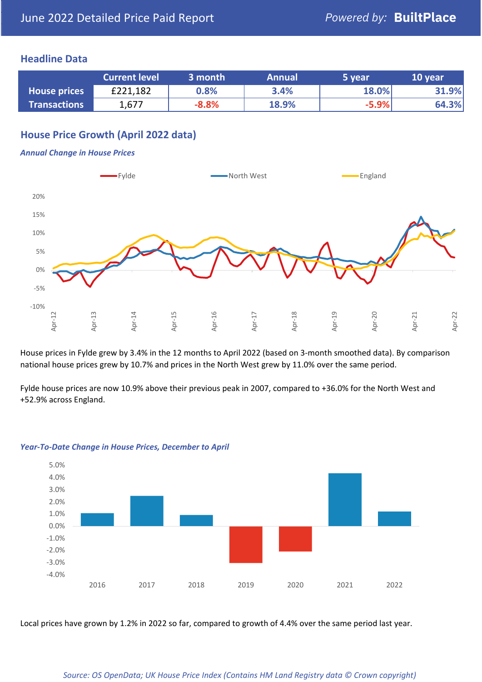## **Headline Data**

|                     | <b>Current level</b> | 3 month | <b>Annual</b> | 5 year  | 10 year |
|---------------------|----------------------|---------|---------------|---------|---------|
| <b>House prices</b> | £221,182             | 0.8%    | 3.4%          | 18.0%   | 31.9%   |
| <b>Transactions</b> | 1,677                | $-8.8%$ | 18.9%         | $-5.9%$ | 64.3%   |

# **House Price Growth (April 2022 data)**

#### *Annual Change in House Prices*



House prices in Fylde grew by 3.4% in the 12 months to April 2022 (based on 3-month smoothed data). By comparison national house prices grew by 10.7% and prices in the North West grew by 11.0% over the same period.

Fylde house prices are now 10.9% above their previous peak in 2007, compared to +36.0% for the North West and +52.9% across England.



#### *Year-To-Date Change in House Prices, December to April*

Local prices have grown by 1.2% in 2022 so far, compared to growth of 4.4% over the same period last year.

#### *Source: OS OpenData; UK House Price Index (Contains HM Land Registry data © Crown copyright)*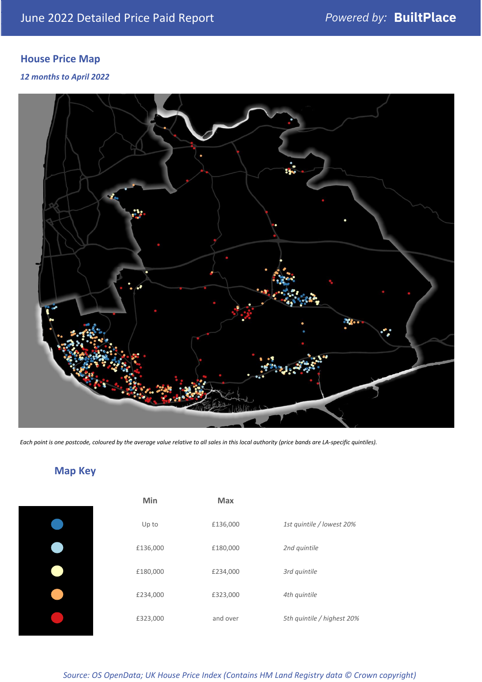# **House Price Map**

### *12 months to April 2022*



*Each point is one postcode, coloured by the average value relative to all sales in this local authority (price bands are LA-specific quintiles).*

# **Map Key**

| Min      | <b>Max</b> |                            |
|----------|------------|----------------------------|
| Up to    | £136,000   | 1st quintile / lowest 20%  |
| £136,000 | £180,000   | 2nd quintile               |
| £180,000 | £234,000   | 3rd quintile               |
| £234,000 | £323,000   | 4th quintile               |
| £323,000 | and over   | 5th quintile / highest 20% |

*Source: OS OpenData; UK House Price Index (Contains HM Land Registry data © Crown copyright)*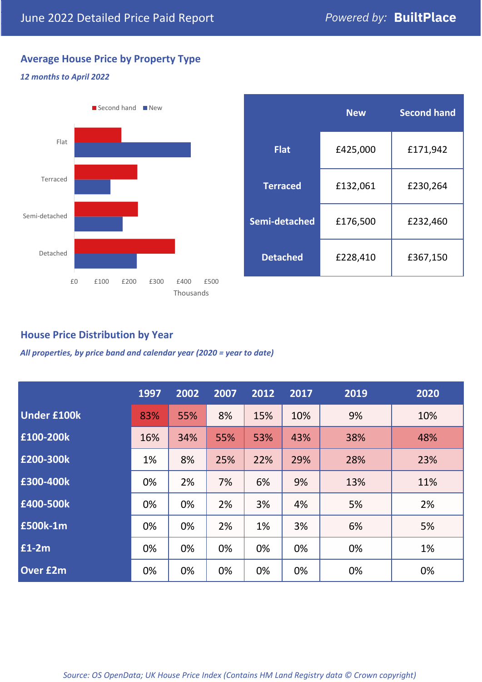# **Average House Price by Property Type**

#### *12 months to April 2022*



|                 | <b>New</b> | <b>Second hand</b> |  |  |
|-----------------|------------|--------------------|--|--|
| <b>Flat</b>     | £425,000   | £171,942           |  |  |
| <b>Terraced</b> | £132,061   | £230,264           |  |  |
| Semi-detached   | £176,500   | £232,460           |  |  |
| <b>Detached</b> | £228,410   | £367,150           |  |  |

# **House Price Distribution by Year**

*All properties, by price band and calendar year (2020 = year to date)*

|                    | 1997 | 2002 | 2007 | 2012 | 2017 | 2019 | 2020 |
|--------------------|------|------|------|------|------|------|------|
| <b>Under £100k</b> | 83%  | 55%  | 8%   | 15%  | 10%  | 9%   | 10%  |
| £100-200k          | 16%  | 34%  | 55%  | 53%  | 43%  | 38%  | 48%  |
| E200-300k          | 1%   | 8%   | 25%  | 22%  | 29%  | 28%  | 23%  |
| £300-400k          | 0%   | 2%   | 7%   | 6%   | 9%   | 13%  | 11%  |
| £400-500k          | 0%   | 0%   | 2%   | 3%   | 4%   | 5%   | 2%   |
| <b>£500k-1m</b>    | 0%   | 0%   | 2%   | 1%   | 3%   | 6%   | 5%   |
| £1-2m              | 0%   | 0%   | 0%   | 0%   | 0%   | 0%   | 1%   |
| <b>Over £2m</b>    | 0%   | 0%   | 0%   | 0%   | 0%   | 0%   | 0%   |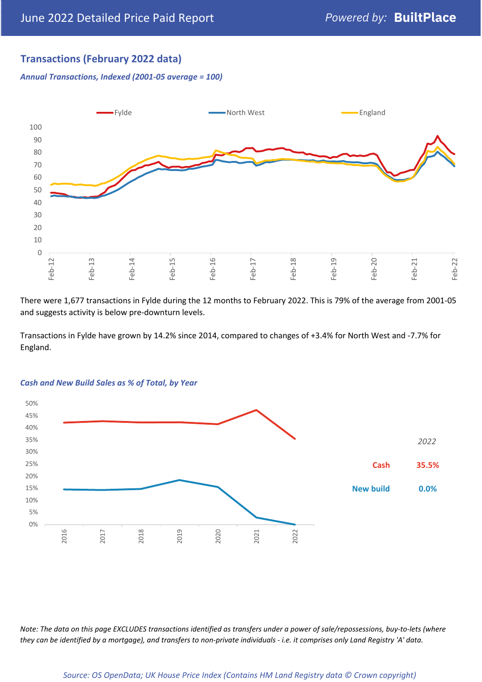# **Transactions (February 2022 data)**

*Annual Transactions, Indexed (2001-05 average = 100)*



There were 1,677 transactions in Fylde during the 12 months to February 2022. This is 79% of the average from 2001-05 and suggests activity is below pre-downturn levels.

Transactions in Fylde have grown by 14.2% since 2014, compared to changes of +3.4% for North West and -7.7% for England.



#### *Cash and New Build Sales as % of Total, by Year*

*Note: The data on this page EXCLUDES transactions identified as transfers under a power of sale/repossessions, buy-to-lets (where they can be identified by a mortgage), and transfers to non-private individuals - i.e. it comprises only Land Registry 'A' data.*